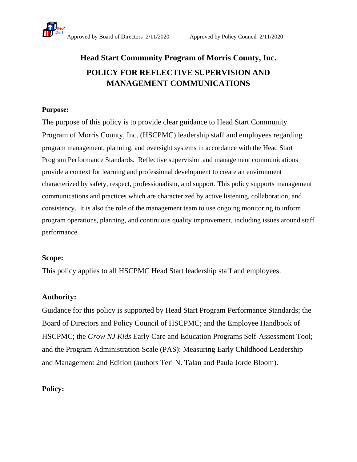

# **Head Start Community Program of Morris County, Inc. POLICY FOR REFLECTIVE SUPERVISION AND MANAGEMENT COMMUNICATIONS**

### **Purpose:**

The purpose of this policy is to provide clear guidance to Head Start Community Program of Morris County, Inc. (HSCPMC) leadership staff and employees regarding program management, planning, and oversight systems in accordance with the Head Start Program Performance Standards. Reflective supervision and management communications provide a context for learning and professional development to create an environment characterized by safety, respect, professionalism, and support. This policy supports management communications and practices which are characterized by active listening, collaboration, and consistency. It is also the role of the management team to use ongoing monitoring to inform program operations, planning, and continuous quality improvement, including issues around staff performance.

#### **Scope:**

This policy applies to all HSCPMC Head Start leadership staff and employees.

## **Authority:**

Guidance for this policy is supported by Head Start Program Performance Standards; the Board of Directors and Policy Council of HSCPMC; and the Employee Handbook of HSCPMC; the *Grow NJ Kids* Early Care and Education Programs Self-Assessment Tool; and the Program Administration Scale (PAS): Measuring Early Childhood Leadership and Management 2nd Edition (authors Teri N. Talan and Paula Jorde Bloom).

## **Policy:**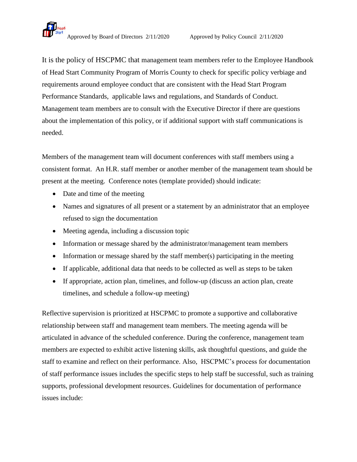

It is the policy of HSCPMC that management team members refer to the Employee Handbook of Head Start Community Program of Morris County to check for specific policy verbiage and requirements around employee conduct that are consistent with the Head Start Program Performance Standards, applicable laws and regulations, and Standards of Conduct. Management team members are to consult with the Executive Director if there are questions about the implementation of this policy, or if additional support with staff communications is needed.

Members of the management team will document conferences with staff members using a consistent format. An H.R. staff member or another member of the management team should be present at the meeting. Conference notes (template provided) should indicate:

- Date and time of the meeting
- Names and signatures of all present or a statement by an administrator that an employee refused to sign the documentation
- Meeting agenda, including a discussion topic
- Information or message shared by the administrator/management team members
- Information or message shared by the staff member(s) participating in the meeting
- If applicable, additional data that needs to be collected as well as steps to be taken
- If appropriate, action plan, timelines, and follow-up (discuss an action plan, create timelines, and schedule a follow-up meeting)

Reflective supervision is prioritized at HSCPMC to promote a supportive and collaborative relationship between staff and management team members. The meeting agenda will be articulated in advance of the scheduled conference. During the conference, management team members are expected to exhibit active listening skills, ask thoughtful questions, and guide the staff to examine and reflect on their performance. Also, HSCPMC's process for documentation of staff performance issues includes the specific steps to help staff be successful, such as training supports, professional development resources. Guidelines for documentation of performance issues include: